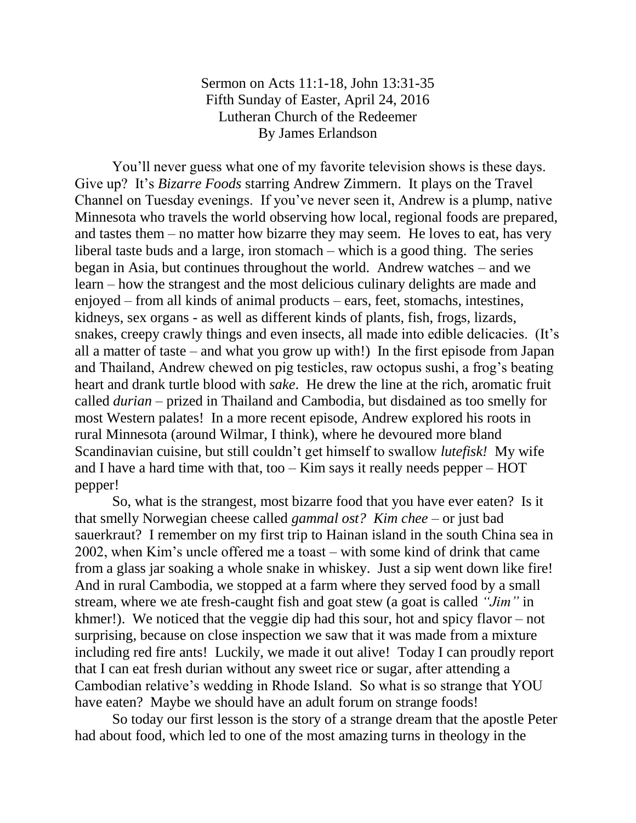## Sermon on Acts 11:1-18, John 13:31-35 Fifth Sunday of Easter, April 24, 2016 Lutheran Church of the Redeemer By James Erlandson

You'll never guess what one of my favorite television shows is these days. Give up? It's *Bizarre Foods* starring Andrew Zimmern. It plays on the Travel Channel on Tuesday evenings. If you've never seen it, Andrew is a plump, native Minnesota who travels the world observing how local, regional foods are prepared, and tastes them – no matter how bizarre they may seem. He loves to eat, has very liberal taste buds and a large, iron stomach – which is a good thing. The series began in Asia, but continues throughout the world. Andrew watches – and we learn – how the strangest and the most delicious culinary delights are made and enjoyed – from all kinds of animal products – ears, feet, stomachs, intestines, kidneys, sex organs - as well as different kinds of plants, fish, frogs, lizards, snakes, creepy crawly things and even insects, all made into edible delicacies. (It's all a matter of taste – and what you grow up with!) In the first episode from Japan and Thailand, Andrew chewed on pig testicles, raw octopus sushi, a frog's beating heart and drank turtle blood with *sake*. He drew the line at the rich, aromatic fruit called *durian* – prized in Thailand and Cambodia, but disdained as too smelly for most Western palates! In a more recent episode, Andrew explored his roots in rural Minnesota (around Wilmar, I think), where he devoured more bland Scandinavian cuisine, but still couldn't get himself to swallow *lutefisk!* My wife and I have a hard time with that, too – Kim says it really needs pepper – HOT pepper!

So, what is the strangest, most bizarre food that you have ever eaten? Is it that smelly Norwegian cheese called *gammal ost? Kim chee* – or just bad sauerkraut? I remember on my first trip to Hainan island in the south China sea in 2002, when Kim's uncle offered me a toast – with some kind of drink that came from a glass jar soaking a whole snake in whiskey. Just a sip went down like fire! And in rural Cambodia, we stopped at a farm where they served food by a small stream, where we ate fresh-caught fish and goat stew (a goat is called *"Jim"* in khmer!). We noticed that the veggie dip had this sour, hot and spicy flavor – not surprising, because on close inspection we saw that it was made from a mixture including red fire ants! Luckily, we made it out alive! Today I can proudly report that I can eat fresh durian without any sweet rice or sugar, after attending a Cambodian relative's wedding in Rhode Island. So what is so strange that YOU have eaten? Maybe we should have an adult forum on strange foods!

So today our first lesson is the story of a strange dream that the apostle Peter had about food, which led to one of the most amazing turns in theology in the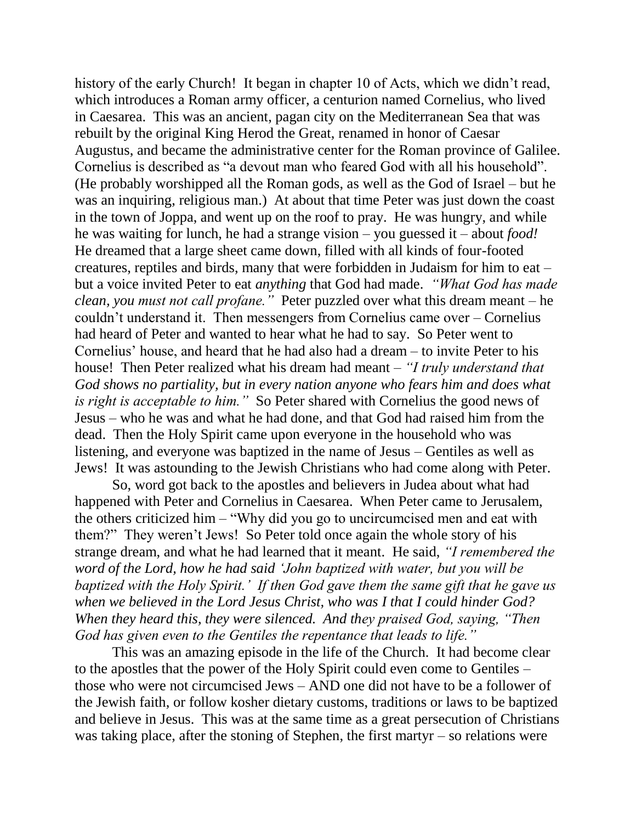history of the early Church! It began in chapter 10 of Acts, which we didn't read, which introduces a Roman army officer, a centurion named Cornelius, who lived in Caesarea. This was an ancient, pagan city on the Mediterranean Sea that was rebuilt by the original King Herod the Great, renamed in honor of Caesar Augustus, and became the administrative center for the Roman province of Galilee. Cornelius is described as "a devout man who feared God with all his household". (He probably worshipped all the Roman gods, as well as the God of Israel – but he was an inquiring, religious man.) At about that time Peter was just down the coast in the town of Joppa, and went up on the roof to pray. He was hungry, and while he was waiting for lunch, he had a strange vision – you guessed it – about *food!* He dreamed that a large sheet came down, filled with all kinds of four-footed creatures, reptiles and birds, many that were forbidden in Judaism for him to eat – but a voice invited Peter to eat *anything* that God had made. *"What God has made clean, you must not call profane."* Peter puzzled over what this dream meant – he couldn't understand it. Then messengers from Cornelius came over – Cornelius had heard of Peter and wanted to hear what he had to say. So Peter went to Cornelius' house, and heard that he had also had a dream – to invite Peter to his house! Then Peter realized what his dream had meant – *"I truly understand that God shows no partiality, but in every nation anyone who fears him and does what is right is acceptable to him."* So Peter shared with Cornelius the good news of Jesus – who he was and what he had done, and that God had raised him from the dead. Then the Holy Spirit came upon everyone in the household who was listening, and everyone was baptized in the name of Jesus – Gentiles as well as Jews! It was astounding to the Jewish Christians who had come along with Peter.

So, word got back to the apostles and believers in Judea about what had happened with Peter and Cornelius in Caesarea. When Peter came to Jerusalem, the others criticized him – "Why did you go to uncircumcised men and eat with them?" They weren't Jews! So Peter told once again the whole story of his strange dream, and what he had learned that it meant. He said, *"I remembered the word of the Lord, how he had said 'John baptized with water, but you will be baptized with the Holy Spirit.' If then God gave them the same gift that he gave us when we believed in the Lord Jesus Christ, who was I that I could hinder God? When they heard this, they were silenced. And they praised God, saying, "Then God has given even to the Gentiles the repentance that leads to life."*

This was an amazing episode in the life of the Church. It had become clear to the apostles that the power of the Holy Spirit could even come to Gentiles – those who were not circumcised Jews – AND one did not have to be a follower of the Jewish faith, or follow kosher dietary customs, traditions or laws to be baptized and believe in Jesus. This was at the same time as a great persecution of Christians was taking place, after the stoning of Stephen, the first martyr – so relations were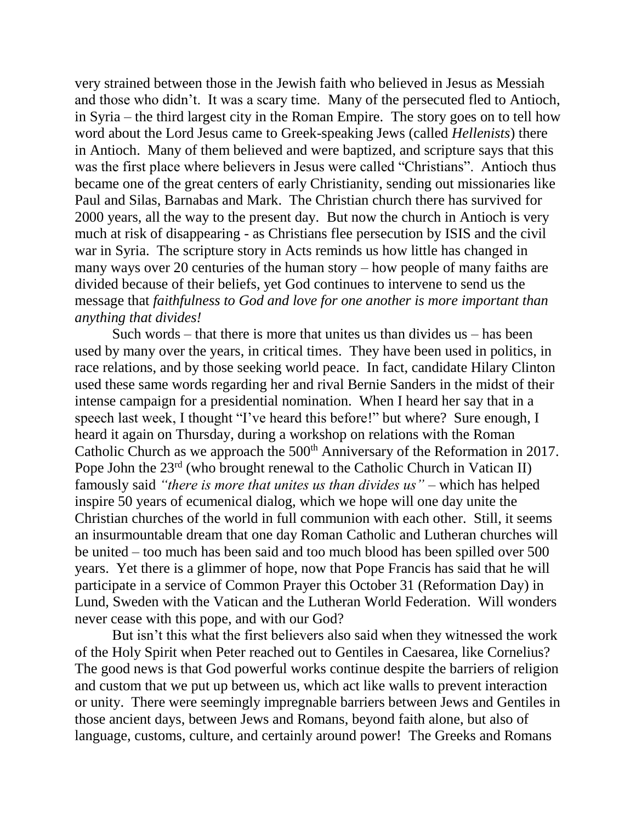very strained between those in the Jewish faith who believed in Jesus as Messiah and those who didn't. It was a scary time. Many of the persecuted fled to Antioch, in Syria – the third largest city in the Roman Empire. The story goes on to tell how word about the Lord Jesus came to Greek-speaking Jews (called *Hellenists*) there in Antioch. Many of them believed and were baptized, and scripture says that this was the first place where believers in Jesus were called "Christians". Antioch thus became one of the great centers of early Christianity, sending out missionaries like Paul and Silas, Barnabas and Mark. The Christian church there has survived for 2000 years, all the way to the present day. But now the church in Antioch is very much at risk of disappearing - as Christians flee persecution by ISIS and the civil war in Syria. The scripture story in Acts reminds us how little has changed in many ways over 20 centuries of the human story – how people of many faiths are divided because of their beliefs, yet God continues to intervene to send us the message that *faithfulness to God and love for one another is more important than anything that divides!*

Such words – that there is more that unites us than divides us – has been used by many over the years, in critical times. They have been used in politics, in race relations, and by those seeking world peace. In fact, candidate Hilary Clinton used these same words regarding her and rival Bernie Sanders in the midst of their intense campaign for a presidential nomination. When I heard her say that in a speech last week, I thought "I've heard this before!" but where? Sure enough, I heard it again on Thursday, during a workshop on relations with the Roman Catholic Church as we approach the 500<sup>th</sup> Anniversary of the Reformation in 2017. Pope John the  $23^{rd}$  (who brought renewal to the Catholic Church in Vatican II) famously said *"there is more that unites us than divides us"* – which has helped inspire 50 years of ecumenical dialog, which we hope will one day unite the Christian churches of the world in full communion with each other. Still, it seems an insurmountable dream that one day Roman Catholic and Lutheran churches will be united – too much has been said and too much blood has been spilled over 500 years. Yet there is a glimmer of hope, now that Pope Francis has said that he will participate in a service of Common Prayer this October 31 (Reformation Day) in Lund, Sweden with the Vatican and the Lutheran World Federation. Will wonders never cease with this pope, and with our God?

But isn't this what the first believers also said when they witnessed the work of the Holy Spirit when Peter reached out to Gentiles in Caesarea, like Cornelius? The good news is that God powerful works continue despite the barriers of religion and custom that we put up between us, which act like walls to prevent interaction or unity. There were seemingly impregnable barriers between Jews and Gentiles in those ancient days, between Jews and Romans, beyond faith alone, but also of language, customs, culture, and certainly around power! The Greeks and Romans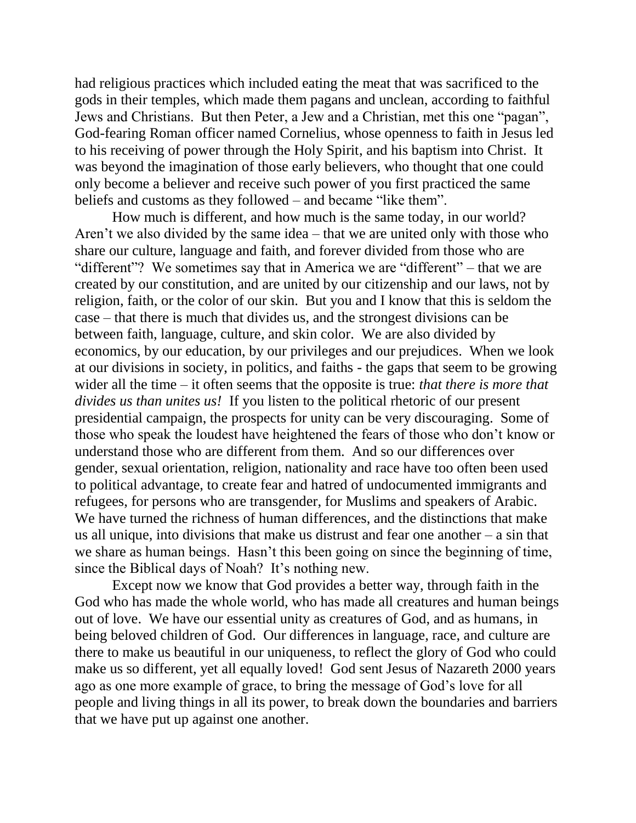had religious practices which included eating the meat that was sacrificed to the gods in their temples, which made them pagans and unclean, according to faithful Jews and Christians. But then Peter, a Jew and a Christian, met this one "pagan", God-fearing Roman officer named Cornelius, whose openness to faith in Jesus led to his receiving of power through the Holy Spirit, and his baptism into Christ. It was beyond the imagination of those early believers, who thought that one could only become a believer and receive such power of you first practiced the same beliefs and customs as they followed – and became "like them".

How much is different, and how much is the same today, in our world? Aren't we also divided by the same idea – that we are united only with those who share our culture, language and faith, and forever divided from those who are "different"? We sometimes say that in America we are "different" – that we are created by our constitution, and are united by our citizenship and our laws, not by religion, faith, or the color of our skin. But you and I know that this is seldom the case – that there is much that divides us, and the strongest divisions can be between faith, language, culture, and skin color. We are also divided by economics, by our education, by our privileges and our prejudices. When we look at our divisions in society, in politics, and faiths - the gaps that seem to be growing wider all the time – it often seems that the opposite is true: *that there is more that divides us than unites us!* If you listen to the political rhetoric of our present presidential campaign, the prospects for unity can be very discouraging. Some of those who speak the loudest have heightened the fears of those who don't know or understand those who are different from them. And so our differences over gender, sexual orientation, religion, nationality and race have too often been used to political advantage, to create fear and hatred of undocumented immigrants and refugees, for persons who are transgender, for Muslims and speakers of Arabic. We have turned the richness of human differences, and the distinctions that make us all unique, into divisions that make us distrust and fear one another – a sin that we share as human beings. Hasn't this been going on since the beginning of time, since the Biblical days of Noah? It's nothing new.

Except now we know that God provides a better way, through faith in the God who has made the whole world, who has made all creatures and human beings out of love. We have our essential unity as creatures of God, and as humans, in being beloved children of God. Our differences in language, race, and culture are there to make us beautiful in our uniqueness, to reflect the glory of God who could make us so different, yet all equally loved! God sent Jesus of Nazareth 2000 years ago as one more example of grace, to bring the message of God's love for all people and living things in all its power, to break down the boundaries and barriers that we have put up against one another.